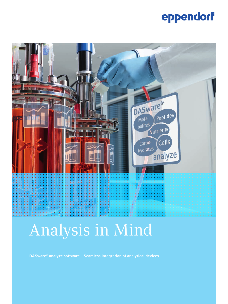## eppendorf



# Analysis in Mind

DASware® analyze software—Seamless integration of analytical devices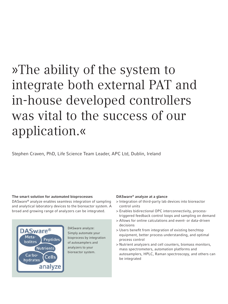# »The ability of the system to integrate both external PAT and in-house developed controllers was vital to the success of our application.«

Stephen Craven, PhD, Life Science Team Leader, APC Ltd, Dublin, Ireland

#### The smart solution for automated bioprocesses

DASware® analyze enables seamless integration of sampling and analytical laboratory devices to the bioreactor system. A broad and growing range of analyzers can be integrated.



DASware analyze: Simply automate your bioprocess by integration of autosamplers and analyzers to your bioreactor system.

#### DASware® analyze at a glance

- > Integration of third-party lab devices into bioreactor control units
- > Enables bidirectional OPC interconnectivity, processtriggered feedback control loops and sampling on demand
- > Allows for online calculations and event- or data-driven decisions
- > Users benefit from integration of existing benchtop equipment, better process understanding, and optimal process control
- > Nutrient analyzers and cell counters, biomass monitors, mass spectrometers, automation platforms and autosamplers, HPLC, Raman spectroscopy, and others can be integrated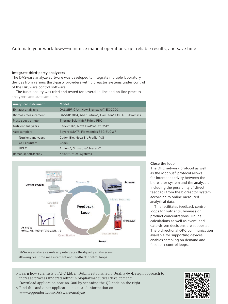#### Automate your workflows—minimize manual operations, get reliable results, and save time

#### Integrate third-party analyzers

The DASware analyze software was developed to integrate multiple laboratory devices from various third-party providers with bioreactor systems under control of the DASware control software.

The functionality was tried and tested for several in-line and on-line process analyzers and autosamplers:

| <b>Analytical instrument</b> | Model                                                            |
|------------------------------|------------------------------------------------------------------|
| Exhaust analyzers            | DASGIP® GA4, New Brunswick™ EX-2000                              |
| Biomass measurement          | DASGIP OD4, Aber Futura®, Hamilton® FOGALE iBiomass              |
| Mass spectrometer            | Thermo Scientific <sup>®</sup> Prima PRO                         |
| Nutrient analyzers           | Cedex® Bio, Nova BioProfile®, YSI®                               |
| Autosamplers                 | BaychroMAT®, Flownamics SEG-FLOW®                                |
| Nutrient analyzers           | Cedex Bio, Nova BioProfile, YSI                                  |
| Cell counters                | Cedex                                                            |
| <b>HPLC</b>                  | Agilent <sup>®</sup> , Shimadzu <sup>®</sup> Nexera <sup>®</sup> |
| Raman spectroscopy           | <b>Kaiser Optical Systems</b>                                    |



DASware analyze seamlessly integrates third-party analyzers allowing real-time measurement and feedback control loops

#### Close the loop

The OPC network protocol as well as the Modbus® protocol allows for interconnectivity between the bioreactor system and the analyzer, including the possibility of direct feedback from the bioreactor system according to online measured analytical data.

This facilitates feedback control loops for nutrients, biomass or product concentrations. Online calculations as well as event- and data-driven decisions are supported. The bidirectional OPC communication available for supporting devices enables sampling on demand and feedback control loops.

- > Learn how scientists at APC Ltd. in Dublin established a Quality-by-Design approach to increase process understanding in biopharmaceutical development: Download application note no. 300 by scanning the QR code on the right.
- > Find this and other application notes and information on www.eppendorf.com/DASware-analyze